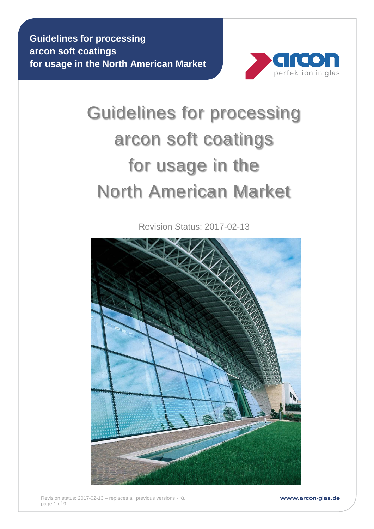

# Guidelines for processing arcon soft coatings for usage in the North American Market

Revision Status: 2017-02-13



www.arcon-glas.de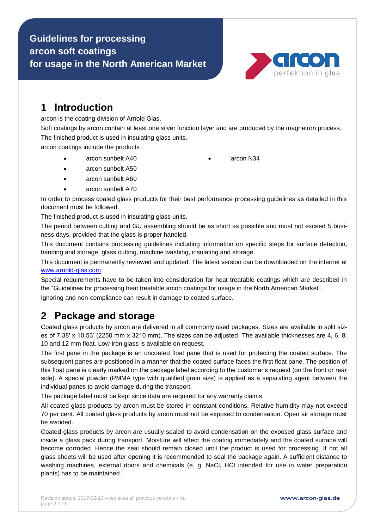

#### **1 Introduction**

arcon is the coating division of Arnold Glas.

Soft coatings by arcon contain at least one silver function layer and are produced by the magnetron process. The finished product is used in insulating glass units.

arcon coatings include the products

- arcon sunbelt A40 **arcon N34** 
	-

- arcon sunbelt A50
- arcon sunbelt A60
- arcon sunbelt A70

In order to process coated glass products for their best performance processing guidelines as detailed in this document must be followed.

The finished product is used in insulating glass units.

The period between cutting and GU assembling should be as short as possible and must not exceed 5 business days, provided that the glass is proper handled.

This document contains processing guidelines including information on specific steps for surface detection, handing and storage, glass cutting, machine washing, insulating and storage.

This document is permanently reviewed and updated. The latest version can be downloaded on the internet at [www.arnold-glas.com.](http://www.arnold-glas.com/)

Special requirements have to be taken into consideration for heat treatable coatings which are described in the "Guidelines for processing heat treatable arcon coatings for usage in the North American Market".

Ignoring and non-compliance can result in damage to coated surface.

# **2 Package and storage**

Coated glass products by arcon are delivered in all commonly used packages. Sizes are available in split sizes of 7.38' x 10.53' (2250 mm x 3210 mm). The sizes can be adjusted. The available thicknesses are 4, 6, 8, 10 and 12 mm float. Low-iron glass is available on request.

The first pane in the package is an uncoated float pane that is used for protecting the coated surface. The subsequent panes are positioned in a manner that the coated surface faces the first float pane. The position of this float pane is clearly marked on the package label according to the customer's request (on the front or rear side). A special powder (PMMA type with qualified grain size) is applied as a separating agent between the individual panes to avoid damage during the transport.

The package label must be kept since data are required for any warranty claims.

All coated glass products by arcon must be stored in constant conditions. Relative humidity may not exceed 70 per cent. All coated glass products by arcon must not be exposed to condensation. Open air storage must be avoided.

Coated glass products by arcon are usually sealed to avoid condensation on the exposed glass surface and inside a glass pack during transport. Moisture will affect the coating immediately and the coated surface will become corroded. Hence the seal should remain closed until the product is used for processing. If not all glass sheets will be used after opening it is recommended to seal the package again. A sufficient distance to washing machines, external doors and chemicals (e. g. NaCl, HCl intended for use in water preparation plants) has to be maintained.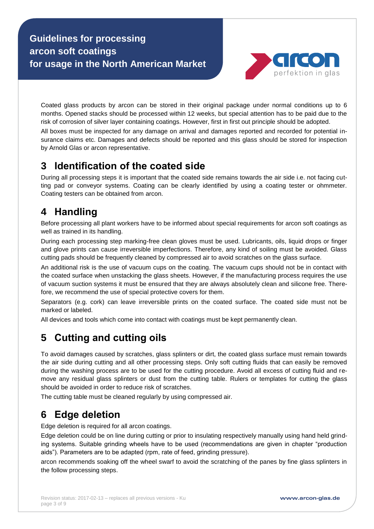

Coated glass products by arcon can be stored in their original package under normal conditions up to 6 months. Opened stacks should be processed within 12 weeks, but special attention has to be paid due to the risk of corrosion of silver layer containing coatings. However, first in first out principle should be adopted.

All boxes must be inspected for any damage on arrival and damages reported and recorded for potential insurance claims etc. Damages and defects should be reported and this glass should be stored for inspection by Arnold Glas or arcon representative.

#### **3 Identification of the coated side**

During all processing steps it is important that the coated side remains towards the air side i.e. not facing cutting pad or conveyor systems. Coating can be clearly identified by using a coating tester or ohmmeter. Coating testers can be obtained from arcon.

## **4 Handling**

Before processing all plant workers have to be informed about special requirements for arcon soft coatings as well as trained in its handling.

During each processing step marking-free clean gloves must be used. Lubricants, oils, liquid drops or finger and glove prints can cause irreversible imperfections. Therefore, any kind of soiling must be avoided. Glass cutting pads should be frequently cleaned by compressed air to avoid scratches on the glass surface.

An additional risk is the use of vacuum cups on the coating. The vacuum cups should not be in contact with the coated surface when unstacking the glass sheets. However, if the manufacturing process requires the use of vacuum suction systems it must be ensured that they are always absolutely clean and silicone free. Therefore, we recommend the use of special protective covers for them.

Separators (e.g. cork) can leave irreversible prints on the coated surface. The coated side must not be marked or labeled.

All devices and tools which come into contact with coatings must be kept permanently clean.

# **5 Cutting and cutting oils**

To avoid damages caused by scratches, glass splinters or dirt, the coated glass surface must remain towards the air side during cutting and all other processing steps. Only soft cutting fluids that can easily be removed during the washing process are to be used for the cutting procedure. Avoid all excess of cutting fluid and remove any residual glass splinters or dust from the cutting table. Rulers or templates for cutting the glass should be avoided in order to reduce risk of scratches.

The cutting table must be cleaned regularly by using compressed air.

#### **6 Edge deletion**

Edge deletion is required for all arcon coatings.

Edge deletion could be on line during cutting or prior to insulating respectively manually using hand held grinding systems. Suitable grinding wheels have to be used (recommendations are given in chapter "production aids"). Parameters are to be adapted (rpm, rate of feed, grinding pressure).

arcon recommends soaking off the wheel swarf to avoid the scratching of the panes by fine glass splinters in the follow processing steps.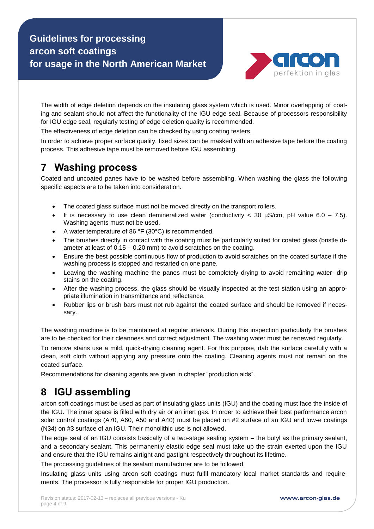

The width of edge deletion depends on the insulating glass system which is used. Minor overlapping of coating and sealant should not affect the functionality of the IGU edge seal. Because of processors responsibility for IGU edge seal, regularly testing of edge deletion quality is recommended.

The effectiveness of edge deletion can be checked by using coating testers.

In order to achieve proper surface quality, fixed sizes can be masked with an adhesive tape before the coating process. This adhesive tape must be removed before IGU assembling.

#### **7 Washing process**

Coated and uncoated panes have to be washed before assembling. When washing the glass the following specific aspects are to be taken into consideration.

- The coated glass surface must not be moved directly on the transport rollers.
- It is necessary to use clean demineralized water (conductivity  $<$  30 µS/cm, pH value 6.0 7.5). Washing agents must not be used.
- A water temperature of 86 °F (30°C) is recommended.
- The brushes directly in contact with the coating must be particularly suited for coated glass (bristle diameter at least of 0.15 – 0.20 mm) to avoid scratches on the coating.
- Ensure the best possible continuous flow of production to avoid scratches on the coated surface if the washing process is stopped and restarted on one pane.
- Leaving the washing machine the panes must be completely drying to avoid remaining water- drip stains on the coating.
- After the washing process, the glass should be visually inspected at the test station using an appropriate illumination in transmittance and reflectance.
- Rubber lips or brush bars must not rub against the coated surface and should be removed if necessary.

The washing machine is to be maintained at regular intervals. During this inspection particularly the brushes are to be checked for their cleanness and correct adjustment. The washing water must be renewed regularly.

To remove stains use a mild, quick-drying cleaning agent. For this purpose, dab the surface carefully with a clean, soft cloth without applying any pressure onto the coating. Cleaning agents must not remain on the coated surface.

Recommendations for cleaning agents are given in chapter "production aids".

#### **8 IGU assembling**

arcon soft coatings must be used as part of insulating glass units (IGU) and the coating must face the inside of the IGU. The inner space is filled with dry air or an inert gas. In order to achieve their best performance arcon solar control coatings (A70, A60, A50 and A40) must be placed on #2 surface of an IGU and low-e coatings (N34) on #3 surface of an IGU. Their monolithic use is not allowed.

The edge seal of an IGU consists basically of a two-stage sealing system – the butyl as the primary sealant, and a secondary sealant. This permanently elastic edge seal must take up the strain exerted upon the IGU and ensure that the IGU remains airtight and gastight respectively throughout its lifetime.

The processing guidelines of the sealant manufacturer are to be followed.

Insulating glass units using arcon soft coatings must fulfil mandatory local market standards and requirements. The processor is fully responsible for proper IGU production.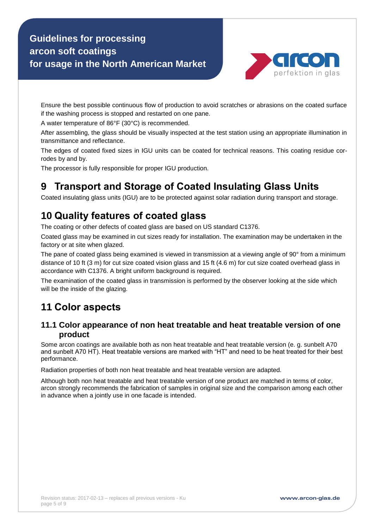

Ensure the best possible continuous flow of production to avoid scratches or abrasions on the coated surface if the washing process is stopped and restarted on one pane.

A water temperature of 86°F (30°C) is recommended.

After assembling, the glass should be visually inspected at the test station using an appropriate illumination in transmittance and reflectance.

The edges of coated fixed sizes in IGU units can be coated for technical reasons. This coating residue corrodes by and by.

The processor is fully responsible for proper IGU production.

# **9 Transport and Storage of Coated Insulating Glass Units**

Coated insulating glass units (IGU) are to be protected against solar radiation during transport and storage.

## **10 Quality features of coated glass**

The coating or other defects of coated glass are based on US standard C1376.

Coated glass may be examined in cut sizes ready for installation. The examination may be undertaken in the factory or at site when glazed.

The pane of coated glass being examined is viewed in transmission at a viewing angle of 90° from a minimum distance of 10 ft (3 m) for cut size coated vision glass and 15 ft (4.6 m) for cut size coated overhead glass in accordance with C1376. A bright uniform background is required.

The examination of the coated glass in transmission is performed by the observer looking at the side which will be the inside of the glazing.

#### **11 Color aspects**

#### **11.1 Color appearance of non heat treatable and heat treatable version of one product**

Some arcon coatings are available both as non heat treatable and heat treatable version (e. g. sunbelt A70 and sunbelt A70 HT). Heat treatable versions are marked with "HT" and need to be heat treated for their best performance.

Radiation properties of both non heat treatable and heat treatable version are adapted.

Although both non heat treatable and heat treatable version of one product are matched in terms of color, arcon strongly recommends the fabrication of samples in original size and the comparison among each other in advance when a jointly use in one facade is intended.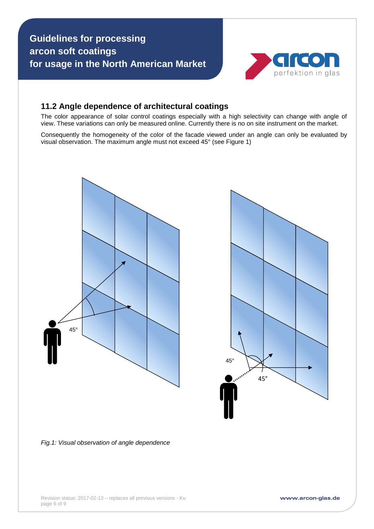

#### **11.2 Angle dependence of architectural coatings**

The color appearance of solar control coatings especially with a high selectivity can change with angle of view. These variations can only be measured online. Currently there is no on site instrument on the market.

Consequently the homogeneity of the color of the facade viewed under an angle can only be evaluated by visual observation. The maximum angle must not exceed 45° (see Figure 1)





*Fig.1: Visual observation of angle dependence*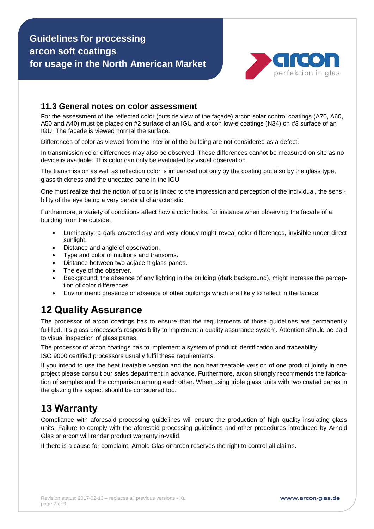

#### **11.3 General notes on color assessment**

For the assessment of the reflected color (outside view of the façade) arcon solar control coatings (A70, A60, A50 and A40) must be placed on #2 surface of an IGU and arcon low-e coatings (N34) on #3 surface of an IGU. The facade is viewed normal the surface.

Differences of color as viewed from the interior of the building are not considered as a defect.

In transmission color differences may also be observed. These differences cannot be measured on site as no device is available. This color can only be evaluated by visual observation.

The transmission as well as reflection color is influenced not only by the coating but also by the glass type, glass thickness and the uncoated pane in the IGU.

One must realize that the notion of color is linked to the impression and perception of the individual, the sensibility of the eye being a very personal characteristic.

Furthermore, a variety of conditions affect how a color looks, for instance when observing the facade of a building from the outside,

- Luminosity: a dark covered sky and very cloudy might reveal color differences, invisible under direct sunlight.
- Distance and angle of observation.
- Type and color of mullions and transoms.
- Distance between two adjacent glass panes.
- The eye of the observer.
- Background: the absence of any lighting in the building (dark background), might increase the perception of color differences.
- Environment: presence or absence of other buildings which are likely to reflect in the facade

#### **12 Quality Assurance**

The processor of arcon coatings has to ensure that the requirements of those guidelines are permanently fulfilled. It's glass processor's responsibility to implement a quality assurance system. Attention should be paid to visual inspection of glass panes.

The processor of arcon coatings has to implement a system of product identification and traceability. ISO 9000 certified processors usually fulfil these requirements.

If you intend to use the heat treatable version and the non heat treatable version of one product jointly in one project please consult our sales department in advance. Furthermore, arcon strongly recommends the fabrication of samples and the comparison among each other. When using triple glass units with two coated panes in the glazing this aspect should be considered too.

#### **13 Warranty**

Compliance with aforesaid processing guidelines will ensure the production of high quality insulating glass units. Failure to comply with the aforesaid processing guidelines and other procedures introduced by Arnold Glas or arcon will render product warranty in-valid.

If there is a cause for complaint, Arnold Glas or arcon reserves the right to control all claims.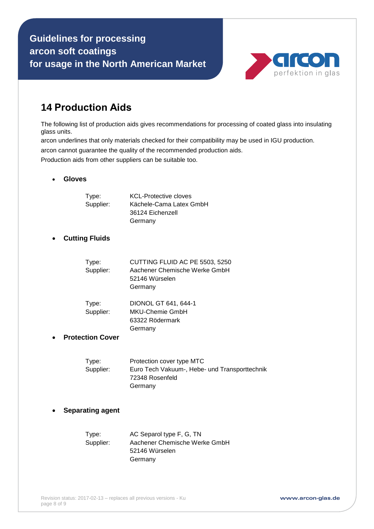

#### **14 Production Aids**

The following list of production aids gives recommendations for processing of coated glass into insulating glass units.

arcon underlines that only materials checked for their compatibility may be used in IGU production.

arcon cannot guarantee the quality of the recommended production aids.

Production aids from other suppliers can be suitable too.

#### **Gloves**

| Type:<br>Supplier:      | <b>KCL-Protective cloves</b><br>Kächele-Cama Latex GmbH<br>36124 Eichenzell<br>Germany                   |
|-------------------------|----------------------------------------------------------------------------------------------------------|
| <b>Cutting Fluids</b>   |                                                                                                          |
| Type:<br>Supplier:      | CUTTING FLUID AC PE 5503, 5250<br>Aachener Chemische Werke GmbH<br>52146 Würselen<br>Germany             |
| Type:<br>Supplier:      | DIONOL GT 641, 644-1<br><b>MKU-Chemie GmbH</b><br>63322 Rödermark<br>Germany                             |
| <b>Protection Cover</b> |                                                                                                          |
| Type:<br>Supplier:      | Protection cover type MTC<br>Euro Tech Vakuum-, Hebe- und Transporttechnik<br>72348 Rosenfeld<br>Germany |

#### **Separating agent**

| Type:     | AC Separol type F, G, TN      |
|-----------|-------------------------------|
| Supplier: | Aachener Chemische Werke GmbH |
|           | 52146 Würselen                |
|           | Germany                       |